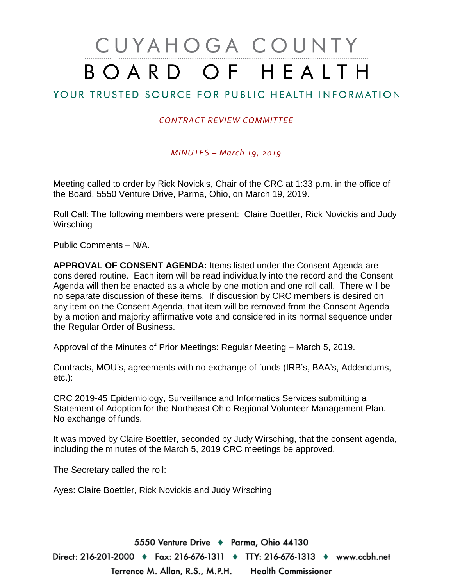## CUYAHOGA COUNTY BOARD OF HEALTH

## YOUR TRUSTED SOURCE FOR PUBLIC HEALTH INFORMATION

## *CONTRACT REVIEW COMMITTEE*

*MINUTES – March 19, 2019*

Meeting called to order by Rick Novickis, Chair of the CRC at 1:33 p.m. in the office of the Board, 5550 Venture Drive, Parma, Ohio, on March 19, 2019.

Roll Call: The following members were present: Claire Boettler, Rick Novickis and Judy **Wirsching** 

Public Comments – N/A.

**APPROVAL OF CONSENT AGENDA:** Items listed under the Consent Agenda are considered routine. Each item will be read individually into the record and the Consent Agenda will then be enacted as a whole by one motion and one roll call. There will be no separate discussion of these items. If discussion by CRC members is desired on any item on the Consent Agenda, that item will be removed from the Consent Agenda by a motion and majority affirmative vote and considered in its normal sequence under the Regular Order of Business.

Approval of the Minutes of Prior Meetings: Regular Meeting – March 5, 2019.

Contracts, MOU's, agreements with no exchange of funds (IRB's, BAA's, Addendums, etc.):

CRC 2019-45 Epidemiology, Surveillance and Informatics Services submitting a Statement of Adoption for the Northeast Ohio Regional Volunteer Management Plan. No exchange of funds.

It was moved by Claire Boettler, seconded by Judy Wirsching, that the consent agenda, including the minutes of the March 5, 2019 CRC meetings be approved.

The Secretary called the roll:

Ayes: Claire Boettler, Rick Novickis and Judy Wirsching

5550 Venture Drive + Parma, Ohio 44130 Direct: 216-201-2000 ♦ Fax: 216-676-1311 ♦ TTY: 216-676-1313 ♦ www.ccbh.net Terrence M. Allan, R.S., M.P.H. Health Commissioner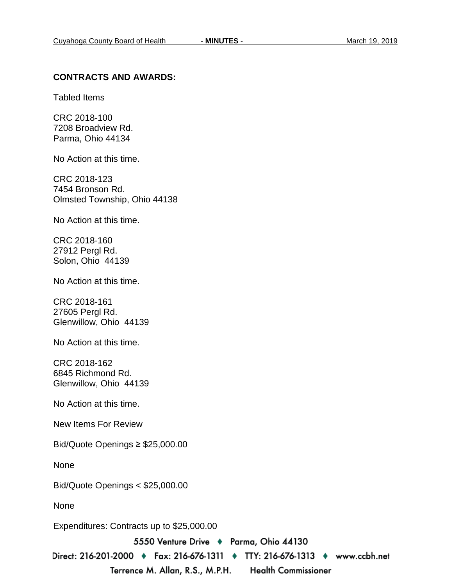## **CONTRACTS AND AWARDS:**

Tabled Items

CRC 2018-100 7208 Broadview Rd. Parma, Ohio 44134

No Action at this time.

CRC 2018-123 7454 Bronson Rd. Olmsted Township, Ohio 44138

No Action at this time.

CRC 2018-160 27912 Pergl Rd. Solon, Ohio 44139

No Action at this time.

CRC 2018-161 27605 Pergl Rd. Glenwillow, Ohio 44139

No Action at this time.

CRC 2018-162 6845 Richmond Rd. Glenwillow, Ohio 44139

No Action at this time.

New Items For Review

Bid/Quote Openings ≥ \$25,000.00

None

Bid/Quote Openings < \$25,000.00

None

Expenditures: Contracts up to \$25,000.00

5550 Venture Drive + Parma, Ohio 44130

Direct: 216-201-2000 • Fax: 216-676-1311 • TTY: 216-676-1313 • www.ccbh.net Terrence M. Allan, R.S., M.P.H. **Health Commissioner**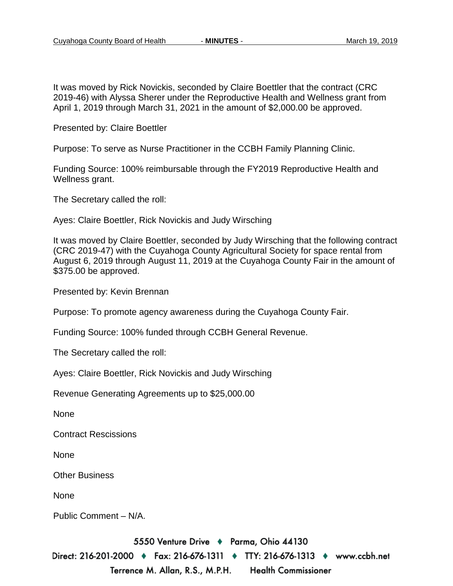It was moved by Rick Novickis, seconded by Claire Boettler that the contract (CRC 2019-46) with Alyssa Sherer under the Reproductive Health and Wellness grant from April 1, 2019 through March 31, 2021 in the amount of \$2,000.00 be approved.

Presented by: Claire Boettler

Purpose: To serve as Nurse Practitioner in the CCBH Family Planning Clinic.

Funding Source: 100% reimbursable through the FY2019 Reproductive Health and Wellness grant.

The Secretary called the roll:

Ayes: Claire Boettler, Rick Novickis and Judy Wirsching

It was moved by Claire Boettler, seconded by Judy Wirsching that the following contract (CRC 2019-47) with the Cuyahoga County Agricultural Society for space rental from August 6, 2019 through August 11, 2019 at the Cuyahoga County Fair in the amount of \$375.00 be approved.

Presented by: Kevin Brennan

Purpose: To promote agency awareness during the Cuyahoga County Fair.

Funding Source: 100% funded through CCBH General Revenue.

The Secretary called the roll:

Ayes: Claire Boettler, Rick Novickis and Judy Wirsching

Revenue Generating Agreements up to \$25,000.00

None

Contract Rescissions

None

Other Business

None

Public Comment – N/A.

5550 Venture Drive + Parma, Ohio 44130

Direct: 216-201-2000 ♦ Fax: 216-676-1311 ♦ TTY: 216-676-1313 ♦ www.ccbh.net Terrence M. Allan, R.S., M.P.H. **Health Commissioner**